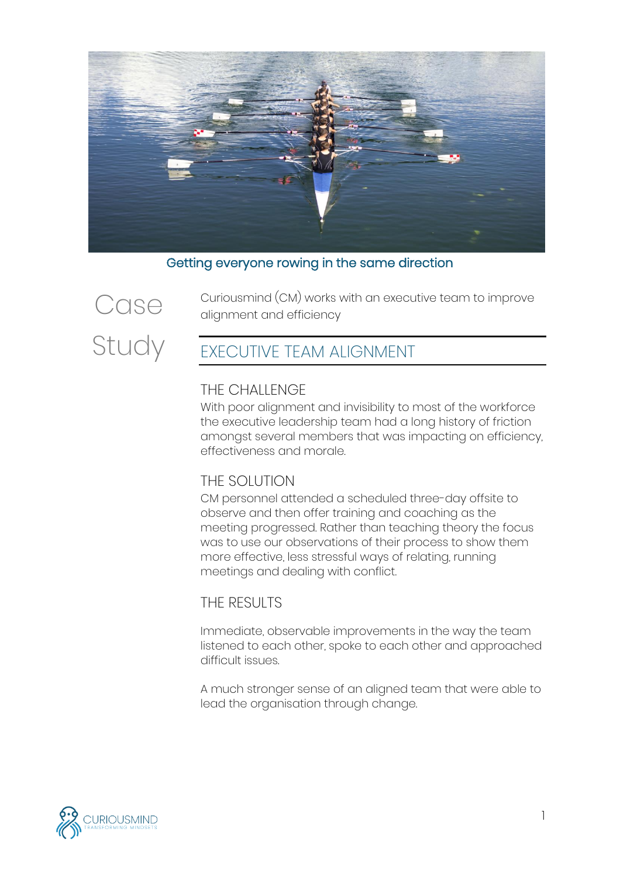

Getting everyone rowing in the same direction



Curiousmind (CM) works with an executive team to improve alignment and efficiency

# EXECUTIVE TEAM ALIGNMENT

#### THE CHALLENGE

With poor alignment and invisibility to most of the workforce the executive leadership team had a long history of friction amongst several members that was impacting on efficiency, effectiveness and morale.

### THE SOLUTION

CM personnel attended a scheduled three-day offsite to observe and then offer training and coaching as the meeting progressed. Rather than teaching theory the focus was to use our observations of their process to show them more effective, less stressful ways of relating, running meetings and dealing with conflict.

### THE RESULTS

Immediate, observable improvements in the way the team listened to each other, spoke to each other and approached difficult issues.

A much stronger sense of an aligned team that were able to lead the organisation through change.

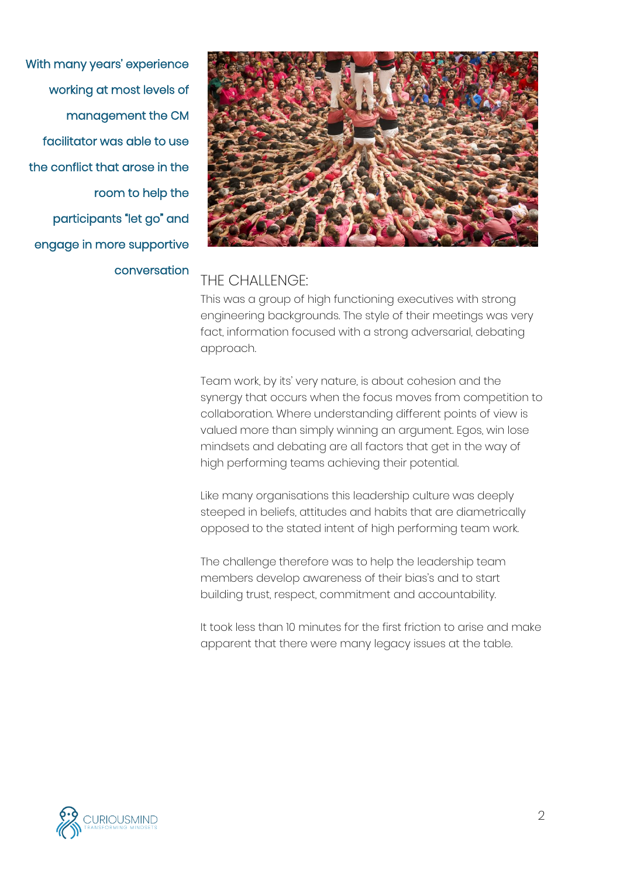With many years' experience working at most levels of management the CM facilitator was able to use the conflict that arose in the room to help the participants "let go" and engage in more supportive conversation



### THE CHALLENGE:

This was a group of high functioning executives with strong engineering backgrounds. The style of their meetings was very fact, information focused with a strong adversarial, debating approach.

Team work, by its' very nature, is about cohesion and the synergy that occurs when the focus moves from competition to collaboration. Where understanding different points of view is valued more than simply winning an argument. Egos, win lose mindsets and debating are all factors that get in the way of high performing teams achieving their potential.

Like many organisations this leadership culture was deeply steeped in beliefs, attitudes and habits that are diametrically opposed to the stated intent of high performing team work.

The challenge therefore was to help the leadership team members develop awareness of their bias's and to start building trust, respect, commitment and accountability.

It took less than 10 minutes for the first friction to arise and make apparent that there were many legacy issues at the table.

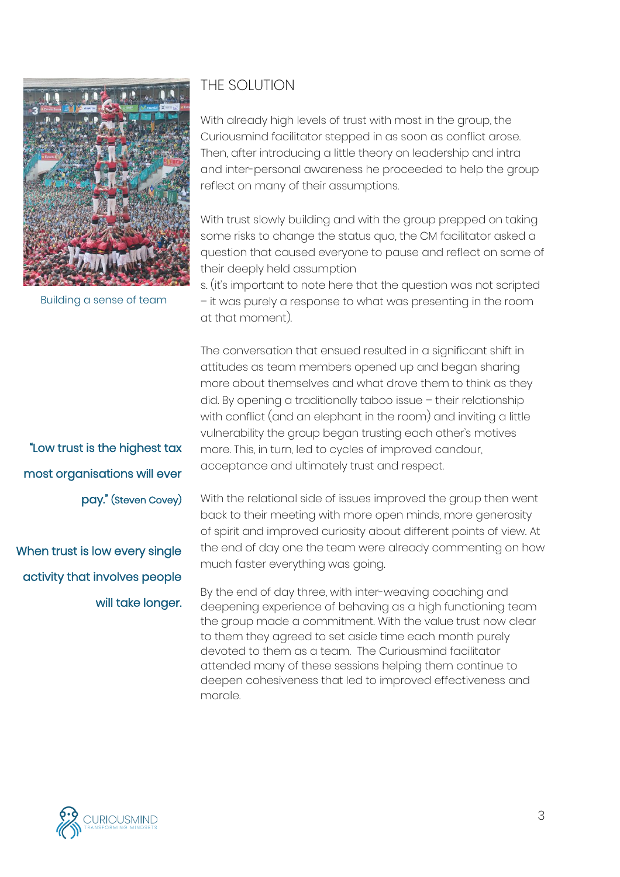

Building a sense of team

"Low trust is the highest tax most organisations will ever pay." (Steven Covey)

When trust is low every single activity that involves people will take longer.

## THE SOLUTION

With already high levels of trust with most in the group, the Curiousmind facilitator stepped in as soon as conflict arose. Then, after introducing a little theory on leadership and intra and inter-personal awareness he proceeded to help the group reflect on many of their assumptions.

With trust slowly building and with the group prepped on taking some risks to change the status quo, the CM facilitator asked a question that caused everyone to pause and reflect on some of their deeply held assumption

s. (it's important to note here that the question was not scripted – it was purely a response to what was presenting in the room at that moment).

The conversation that ensued resulted in a significant shift in attitudes as team members opened up and began sharing more about themselves and what drove them to think as they did. By opening a traditionally taboo issue – their relationship with conflict (and an elephant in the room) and inviting a little vulnerability the group began trusting each other's motives more. This, in turn, led to cycles of improved candour, acceptance and ultimately trust and respect.

With the relational side of issues improved the group then went back to their meeting with more open minds, more generosity of spirit and improved curiosity about different points of view. At the end of day one the team were already commenting on how much faster everything was going.

By the end of day three, with inter-weaving coaching and deepening experience of behaving as a high functioning team the group made a commitment. With the value trust now clear to them they agreed to set aside time each month purely devoted to them as a team. The Curiousmind facilitator attended many of these sessions helping them continue to deepen cohesiveness that led to improved effectiveness and morale.